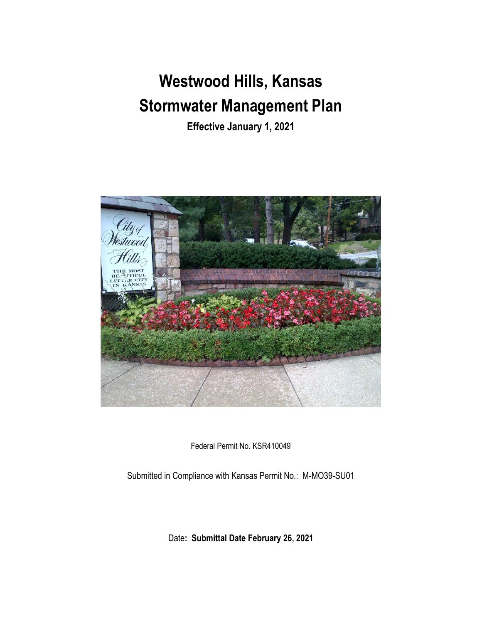# **Westwood Hills, Kansas Stormwater Management Plan**

**Effective January 1, 2021**



Federal Permit No. KSR410049

Submitted in Compliance with Kansas Permit No.: M-MO39-SU01

Date**: Submittal Date February 26, 2021**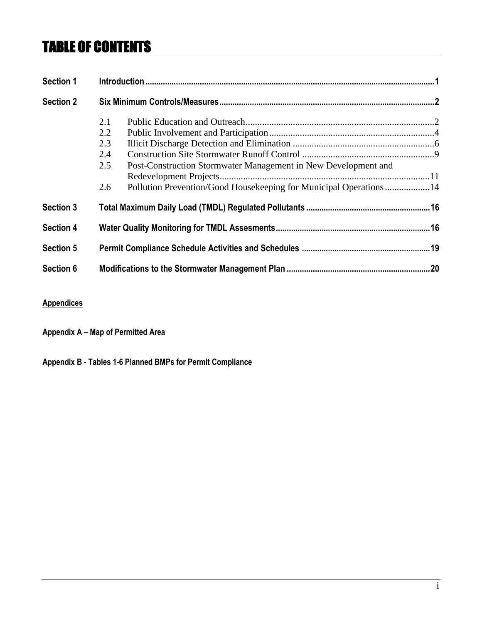# TABLE OF CONTENTS

| <b>Section 1</b> |     |                                                                   |  |
|------------------|-----|-------------------------------------------------------------------|--|
| <b>Section 2</b> |     |                                                                   |  |
|                  | 2.1 |                                                                   |  |
|                  | 2.2 |                                                                   |  |
|                  | 2.3 |                                                                   |  |
|                  | 2.4 |                                                                   |  |
|                  | 2.5 | Post-Construction Stormwater Management in New Development and    |  |
|                  |     |                                                                   |  |
|                  | 2.6 | Pollution Prevention/Good Housekeeping for Municipal Operations14 |  |
| <b>Section 3</b> |     |                                                                   |  |
| <b>Section 4</b> |     |                                                                   |  |
| <b>Section 5</b> |     |                                                                   |  |
| Section 6        |     |                                                                   |  |

#### **Appendices**

**Appendix A – Map of Permitted Area**

**Appendix B - Tables 1-6 Planned BMPs for Permit Compliance**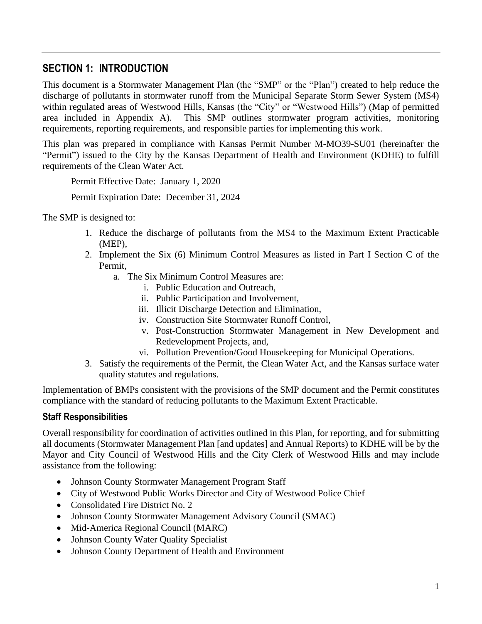# **SECTION 1: INTRODUCTION**

This document is a Stormwater Management Plan (the "SMP" or the "Plan") created to help reduce the discharge of pollutants in stormwater runoff from the Municipal Separate Storm Sewer System (MS4) within regulated areas of Westwood Hills, Kansas (the "City" or "Westwood Hills") (Map of permitted area included in Appendix A). This SMP outlines stormwater program activities, monitoring requirements, reporting requirements, and responsible parties for implementing this work.

This plan was prepared in compliance with Kansas Permit Number M-MO39-SU01 (hereinafter the "Permit") issued to the City by the Kansas Department of Health and Environment (KDHE) to fulfill requirements of the Clean Water Act.

Permit Effective Date: January 1, 2020

Permit Expiration Date: December 31, 2024

The SMP is designed to:

- 1. Reduce the discharge of pollutants from the MS4 to the Maximum Extent Practicable (MEP),
- 2. Implement the Six (6) Minimum Control Measures as listed in Part I Section C of the Permit,
	- a. The Six Minimum Control Measures are:
		- i. Public Education and Outreach,
		- ii. Public Participation and Involvement,
		- iii. Illicit Discharge Detection and Elimination,
		- iv. Construction Site Stormwater Runoff Control,
		- v. Post-Construction Stormwater Management in New Development and Redevelopment Projects, and,
		- vi. Pollution Prevention/Good Housekeeping for Municipal Operations.
- 3. Satisfy the requirements of the Permit, the Clean Water Act, and the Kansas surface water quality statutes and regulations.

Implementation of BMPs consistent with the provisions of the SMP document and the Permit constitutes compliance with the standard of reducing pollutants to the Maximum Extent Practicable.

#### **Staff Responsibilities**

Overall responsibility for coordination of activities outlined in this Plan, for reporting, and for submitting all documents (Stormwater Management Plan [and updates] and Annual Reports) to KDHE will be by the Mayor and City Council of Westwood Hills and the City Clerk of Westwood Hills and may include assistance from the following:

- Johnson County Stormwater Management Program Staff
- City of Westwood Public Works Director and City of Westwood Police Chief
- Consolidated Fire District No. 2
- Johnson County Stormwater Management Advisory Council (SMAC)
- Mid-America Regional Council (MARC)
- Johnson County Water Quality Specialist
- Johnson County Department of Health and Environment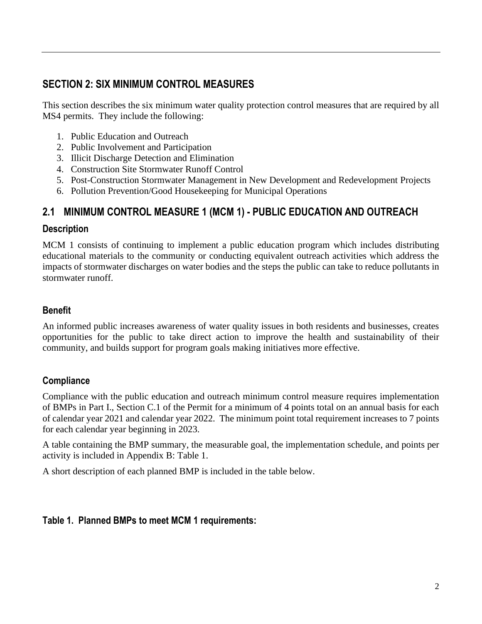# **SECTION 2: SIX MINIMUM CONTROL MEASURES**

This section describes the six minimum water quality protection control measures that are required by all MS4 permits. They include the following:

- 1. Public Education and Outreach
- 2. Public Involvement and Participation
- 3. Illicit Discharge Detection and Elimination
- 4. Construction Site Stormwater Runoff Control
- 5. Post-Construction Stormwater Management in New Development and Redevelopment Projects
- 6. Pollution Prevention/Good Housekeeping for Municipal Operations

## **2.1 MINIMUM CONTROL MEASURE 1 (MCM 1) - PUBLIC EDUCATION AND OUTREACH**

#### **Description**

MCM 1 consists of continuing to implement a public education program which includes distributing educational materials to the community or conducting equivalent outreach activities which address the impacts of stormwater discharges on water bodies and the steps the public can take to reduce pollutants in stormwater runoff.

#### **Benefit**

An informed public increases awareness of water quality issues in both residents and businesses, creates opportunities for the public to take direct action to improve the health and sustainability of their community, and builds support for program goals making initiatives more effective.

#### **Compliance**

Compliance with the public education and outreach minimum control measure requires implementation of BMPs in Part I., Section C.1 of the Permit for a minimum of 4 points total on an annual basis for each of calendar year 2021 and calendar year 2022. The minimum point total requirement increases to 7 points for each calendar year beginning in 2023.

A table containing the BMP summary, the measurable goal, the implementation schedule, and points per activity is included in Appendix B: Table 1.

A short description of each planned BMP is included in the table below.

#### **Table 1. Planned BMPs to meet MCM 1 requirements:**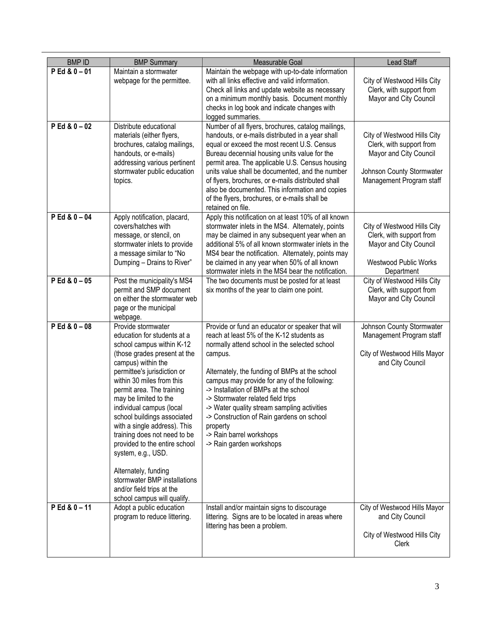| <b>BMPID</b>    | <b>BMP Summary</b>                                                                                                                                                                                                                                                                                                                                                                                                                                                                                                                                           | Measurable Goal                                                                                                                                                                                                                                                                                                                                                                                                                                                                                           | Lead Staff                                                                                                                                 |
|-----------------|--------------------------------------------------------------------------------------------------------------------------------------------------------------------------------------------------------------------------------------------------------------------------------------------------------------------------------------------------------------------------------------------------------------------------------------------------------------------------------------------------------------------------------------------------------------|-----------------------------------------------------------------------------------------------------------------------------------------------------------------------------------------------------------------------------------------------------------------------------------------------------------------------------------------------------------------------------------------------------------------------------------------------------------------------------------------------------------|--------------------------------------------------------------------------------------------------------------------------------------------|
| $P Ed & 0 - 01$ | Maintain a stormwater<br>webpage for the permittee.                                                                                                                                                                                                                                                                                                                                                                                                                                                                                                          | Maintain the webpage with up-to-date information<br>with all links effective and valid information.<br>Check all links and update website as necessary<br>on a minimum monthly basis. Document monthly<br>checks in log book and indicate changes with<br>logged summaries.                                                                                                                                                                                                                               | City of Westwood Hills City<br>Clerk, with support from<br>Mayor and City Council                                                          |
| $P Ed & 0 - 02$ | Distribute educational<br>materials (either flyers,<br>brochures, catalog mailings,<br>handouts, or e-mails)<br>addressing various pertinent<br>stormwater public education<br>topics.                                                                                                                                                                                                                                                                                                                                                                       | Number of all flyers, brochures, catalog mailings,<br>handouts, or e-mails distributed in a year shall<br>equal or exceed the most recent U.S. Census<br>Bureau decennial housing units value for the<br>permit area. The applicable U.S. Census housing<br>units value shall be documented, and the number<br>of flyers, brochures, or e-mails distributed shall<br>also be documented. This information and copies<br>of the flyers, brochures, or e-mails shall be<br>retained on file.                | City of Westwood Hills City<br>Clerk, with support from<br>Mayor and City Council<br>Johnson County Stormwater<br>Management Program staff |
| $P Ed & 0 - 04$ | Apply notification, placard,<br>covers/hatches with<br>message, or stencil, on<br>stormwater inlets to provide<br>a message similar to "No<br>Dumping - Drains to River"                                                                                                                                                                                                                                                                                                                                                                                     | Apply this notification on at least 10% of all known<br>stormwater inlets in the MS4. Alternately, points<br>may be claimed in any subsequent year when an<br>additional 5% of all known stormwater inlets in the<br>MS4 bear the notification. Alternately, points may<br>be claimed in any year when 50% of all known<br>stormwater inlets in the MS4 bear the notification.                                                                                                                            | City of Westwood Hills City<br>Clerk, with support from<br>Mayor and City Council<br><b>Westwood Public Works</b><br>Department            |
| $P Ed & 0 - 05$ | Post the municipality's MS4<br>permit and SMP document<br>on either the stormwater web<br>page or the municipal<br>webpage.                                                                                                                                                                                                                                                                                                                                                                                                                                  | The two documents must be posted for at least<br>six months of the year to claim one point.                                                                                                                                                                                                                                                                                                                                                                                                               | City of Westwood Hills City<br>Clerk, with support from<br>Mayor and City Council                                                          |
| $P Ed & 0 - 08$ | Provide stormwater<br>education for students at a<br>school campus within K-12<br>(those grades present at the<br>campus) within the<br>permittee's jurisdiction or<br>within 30 miles from this<br>permit area. The training<br>may be limited to the<br>individual campus (local<br>school buildings associated<br>with a single address). This<br>training does not need to be<br>provided to the entire school<br>system, e.g., USD.<br>Alternately, funding<br>stormwater BMP installations<br>and/or field trips at the<br>school campus will qualify. | Provide or fund an educator or speaker that will<br>reach at least 5% of the K-12 students as<br>normally attend school in the selected school<br>campus.<br>Alternately, the funding of BMPs at the school<br>campus may provide for any of the following:<br>-> Installation of BMPs at the school<br>-> Stormwater related field trips<br>-> Water quality stream sampling activities<br>-> Construction of Rain gardens on school<br>property<br>-> Rain barrel workshops<br>-> Rain garden workshops | Johnson County Stormwater<br>Management Program staff<br>City of Westwood Hills Mayor<br>and City Council                                  |
| $P Ed & 0 - 11$ | Adopt a public education<br>program to reduce littering.                                                                                                                                                                                                                                                                                                                                                                                                                                                                                                     | Install and/or maintain signs to discourage<br>littering. Signs are to be located in areas where<br>littering has been a problem.                                                                                                                                                                                                                                                                                                                                                                         | City of Westwood Hills Mayor<br>and City Council<br>City of Westwood Hills City<br>Clerk                                                   |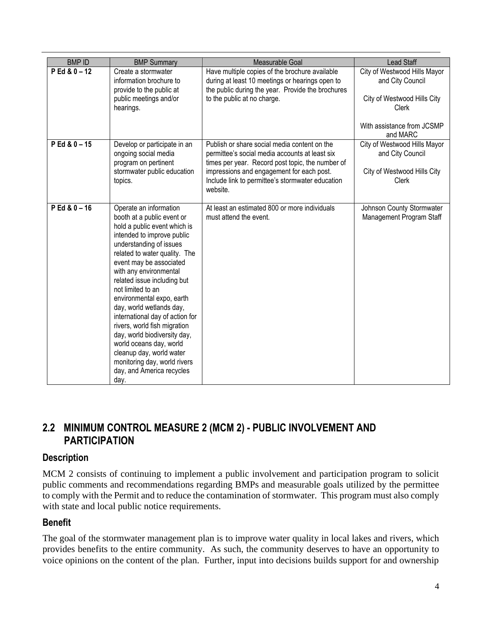| <b>BMPID</b>    | <b>BMP Summary</b>                                                                                                                                                                                                                                                                                                                                                                                                                                                                                                                                                              | Measurable Goal                                                                                                                                                                                                                                                 | <b>Lead Staff</b>                                                                                                                         |
|-----------------|---------------------------------------------------------------------------------------------------------------------------------------------------------------------------------------------------------------------------------------------------------------------------------------------------------------------------------------------------------------------------------------------------------------------------------------------------------------------------------------------------------------------------------------------------------------------------------|-----------------------------------------------------------------------------------------------------------------------------------------------------------------------------------------------------------------------------------------------------------------|-------------------------------------------------------------------------------------------------------------------------------------------|
| $P Ed & 0 - 12$ | Create a stormwater<br>information brochure to<br>provide to the public at<br>public meetings and/or<br>hearings.                                                                                                                                                                                                                                                                                                                                                                                                                                                               | Have multiple copies of the brochure available<br>during at least 10 meetings or hearings open to<br>the public during the year. Provide the brochures<br>to the public at no charge.                                                                           | City of Westwood Hills Mayor<br>and City Council<br>City of Westwood Hills City<br><b>Clerk</b><br>With assistance from JCSMP<br>and MARC |
| $P Ed & 0 - 15$ | Develop or participate in an<br>ongoing social media<br>program on pertinent<br>stormwater public education<br>topics.                                                                                                                                                                                                                                                                                                                                                                                                                                                          | Publish or share social media content on the<br>permittee's social media accounts at least six<br>times per year. Record post topic, the number of<br>impressions and engagement for each post.<br>Include link to permittee's stormwater education<br>website. | City of Westwood Hills Mayor<br>and City Council<br>City of Westwood Hills City<br>Clerk                                                  |
| $P Ed & 0 - 16$ | Operate an information<br>booth at a public event or<br>hold a public event which is<br>intended to improve public<br>understanding of issues<br>related to water quality. The<br>event may be associated<br>with any environmental<br>related issue including but<br>not limited to an<br>environmental expo, earth<br>day, world wetlands day,<br>international day of action for<br>rivers, world fish migration<br>day, world biodiversity day,<br>world oceans day, world<br>cleanup day, world water<br>monitoring day, world rivers<br>day, and America recycles<br>day. | At least an estimated 800 or more individuals<br>must attend the event.                                                                                                                                                                                         | Johnson County Stormwater<br>Management Program Staff                                                                                     |

# **2.2 MINIMUM CONTROL MEASURE 2 (MCM 2) - PUBLIC INVOLVEMENT AND PARTICIPATION**

#### **Description**

MCM 2 consists of continuing to implement a public involvement and participation program to solicit public comments and recommendations regarding BMPs and measurable goals utilized by the permittee to comply with the Permit and to reduce the contamination of stormwater. This program must also comply with state and local public notice requirements.

#### **Benefit**

The goal of the stormwater management plan is to improve water quality in local lakes and rivers, which provides benefits to the entire community. As such, the community deserves to have an opportunity to voice opinions on the content of the plan. Further, input into decisions builds support for and ownership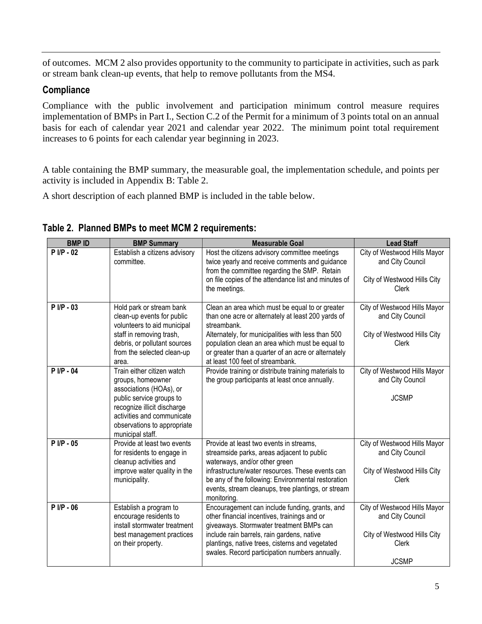of outcomes. MCM 2 also provides opportunity to the community to participate in activities, such as park or stream bank clean-up events, that help to remove pollutants from the MS4.

#### **Compliance**

Compliance with the public involvement and participation minimum control measure requires implementation of BMPs in Part I., Section C.2 of the Permit for a minimum of 3 points total on an annual basis for each of calendar year 2021 and calendar year 2022. The minimum point total requirement increases to 6 points for each calendar year beginning in 2023.

A table containing the BMP summary, the measurable goal, the implementation schedule, and points per activity is included in Appendix B: Table 2.

A short description of each planned BMP is included in the table below.

| <b>BMPID</b> | <b>BMP Summary</b>                                                                                                                                                                                                     | <b>Measurable Goal</b>                                                                                                                                                                                                                                                                                                   | <b>Lead Staff</b>                                                                                        |
|--------------|------------------------------------------------------------------------------------------------------------------------------------------------------------------------------------------------------------------------|--------------------------------------------------------------------------------------------------------------------------------------------------------------------------------------------------------------------------------------------------------------------------------------------------------------------------|----------------------------------------------------------------------------------------------------------|
| $P I/P - 02$ | Establish a citizens advisory<br>committee.                                                                                                                                                                            | Host the citizens advisory committee meetings<br>twice yearly and receive comments and guidance<br>from the committee regarding the SMP. Retain<br>on file copies of the attendance list and minutes of<br>the meetings.                                                                                                 | City of Westwood Hills Mayor<br>and City Council<br>City of Westwood Hills City<br><b>Clerk</b>          |
| $P I/P - 03$ | Hold park or stream bank<br>clean-up events for public<br>volunteers to aid municipal<br>staff in removing trash,<br>debris, or pollutant sources<br>from the selected clean-up<br>area.                               | Clean an area which must be equal to or greater<br>than one acre or alternately at least 200 yards of<br>streambank.<br>Alternately, for municipalities with less than 500<br>population clean an area which must be equal to<br>or greater than a quarter of an acre or alternately<br>at least 100 feet of streambank. | City of Westwood Hills Mayor<br>and City Council<br>City of Westwood Hills City<br>Clerk                 |
| $P I/P - 04$ | Train either citizen watch<br>groups, homeowner<br>associations (HOAs), or<br>public service groups to<br>recognize illicit discharge<br>activities and communicate<br>observations to appropriate<br>municipal staff. | Provide training or distribute training materials to<br>the group participants at least once annually.                                                                                                                                                                                                                   | City of Westwood Hills Mayor<br>and City Council<br><b>JCSMP</b>                                         |
| $P I/P - 05$ | Provide at least two events<br>for residents to engage in<br>cleanup activities and<br>improve water quality in the<br>municipality.                                                                                   | Provide at least two events in streams,<br>streamside parks, areas adjacent to public<br>waterways, and/or other green<br>infrastructure/water resources. These events can<br>be any of the following: Environmental restoration<br>events, stream cleanups, tree plantings, or stream<br>monitoring.                    | City of Westwood Hills Mayor<br>and City Council<br>City of Westwood Hills City<br><b>Clerk</b>          |
| $P I/P - 06$ | Establish a program to<br>encourage residents to<br>install stormwater treatment<br>best management practices<br>on their property.                                                                                    | Encouragement can include funding, grants, and<br>other financial incentives, trainings and or<br>giveaways. Stormwater treatment BMPs can<br>include rain barrels, rain gardens, native<br>plantings, native trees, cisterns and vegetated<br>swales. Record participation numbers annually.                            | City of Westwood Hills Mayor<br>and City Council<br>City of Westwood Hills City<br>Clerk<br><b>JCSMP</b> |

**Table 2. Planned BMPs to meet MCM 2 requirements:**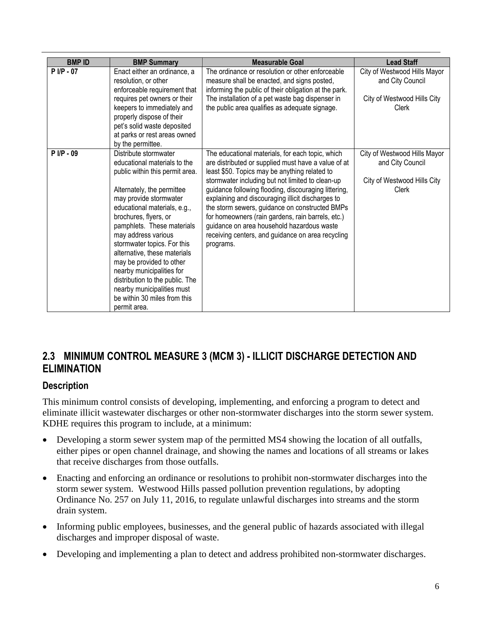| <b>BMPID</b> | <b>BMP Summary</b>                                                                                                                                                                                                                                                                                                                                                                                                                                                                                      | <b>Measurable Goal</b>                                                                                                                                                                                                                                                                                                                                                                                                                                                                                                                           | <b>Lead Staff</b>                                                                        |
|--------------|---------------------------------------------------------------------------------------------------------------------------------------------------------------------------------------------------------------------------------------------------------------------------------------------------------------------------------------------------------------------------------------------------------------------------------------------------------------------------------------------------------|--------------------------------------------------------------------------------------------------------------------------------------------------------------------------------------------------------------------------------------------------------------------------------------------------------------------------------------------------------------------------------------------------------------------------------------------------------------------------------------------------------------------------------------------------|------------------------------------------------------------------------------------------|
| $P I/P - 07$ | Enact either an ordinance, a<br>resolution, or other<br>enforceable requirement that<br>requires pet owners or their                                                                                                                                                                                                                                                                                                                                                                                    | The ordinance or resolution or other enforceable<br>measure shall be enacted, and signs posted,<br>informing the public of their obligation at the park.<br>The installation of a pet waste bag dispenser in                                                                                                                                                                                                                                                                                                                                     | City of Westwood Hills Mayor<br>and City Council<br>City of Westwood Hills City          |
|              | keepers to immediately and<br>properly dispose of their<br>pet's solid waste deposited<br>at parks or rest areas owned<br>by the permittee.                                                                                                                                                                                                                                                                                                                                                             | the public area qualifies as adequate signage.                                                                                                                                                                                                                                                                                                                                                                                                                                                                                                   | Clerk                                                                                    |
| P I/P - 09   | Distribute stormwater<br>educational materials to the<br>public within this permit area.<br>Alternately, the permittee<br>may provide stormwater<br>educational materials, e.g.,<br>brochures, flyers, or<br>pamphlets. These materials<br>may address various<br>stormwater topics. For this<br>alternative, these materials<br>may be provided to other<br>nearby municipalities for<br>distribution to the public. The<br>nearby municipalities must<br>be within 30 miles from this<br>permit area. | The educational materials, for each topic, which<br>are distributed or supplied must have a value of at<br>least \$50. Topics may be anything related to<br>stormwater including but not limited to clean-up<br>guidance following flooding, discouraging littering,<br>explaining and discouraging illicit discharges to<br>the storm sewers, guidance on constructed BMPs<br>for homeowners (rain gardens, rain barrels, etc.)<br>guidance on area household hazardous waste<br>receiving centers, and guidance on area recycling<br>programs. | City of Westwood Hills Mayor<br>and City Council<br>City of Westwood Hills City<br>Clerk |

# **2.3 MINIMUM CONTROL MEASURE 3 (MCM 3) - ILLICIT DISCHARGE DETECTION AND ELIMINATION**

#### **Description**

This minimum control consists of developing, implementing, and enforcing a program to detect and eliminate illicit wastewater discharges or other non-stormwater discharges into the storm sewer system. KDHE requires this program to include, at a minimum:

- Developing a storm sewer system map of the permitted MS4 showing the location of all outfalls, either pipes or open channel drainage, and showing the names and locations of all streams or lakes that receive discharges from those outfalls.
- Enacting and enforcing an ordinance or resolutions to prohibit non-stormwater discharges into the storm sewer system. Westwood Hills passed pollution prevention regulations, by adopting Ordinance No. 257 on July 11, 2016, to regulate unlawful discharges into streams and the storm drain system.
- Informing public employees, businesses, and the general public of hazards associated with illegal discharges and improper disposal of waste.
- Developing and implementing a plan to detect and address prohibited non-stormwater discharges.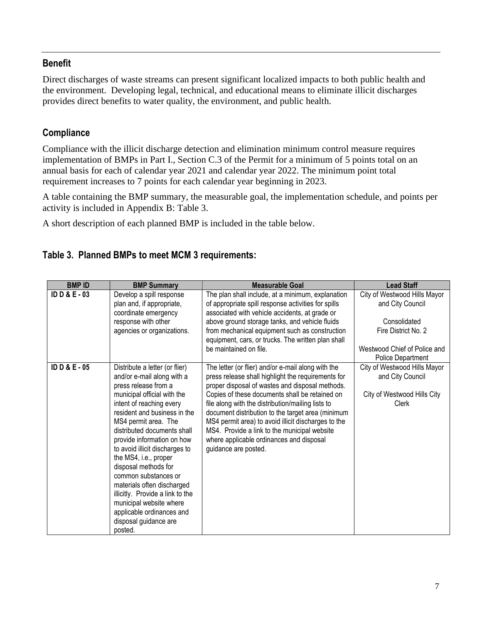#### **Benefit**

Direct discharges of waste streams can present significant localized impacts to both public health and the environment. Developing legal, technical, and educational means to eliminate illicit discharges provides direct benefits to water quality, the environment, and public health.

#### **Compliance**

Compliance with the illicit discharge detection and elimination minimum control measure requires implementation of BMPs in Part I., Section C.3 of the Permit for a minimum of 5 points total on an annual basis for each of calendar year 2021 and calendar year 2022. The minimum point total requirement increases to 7 points for each calendar year beginning in 2023.

A table containing the BMP summary, the measurable goal, the implementation schedule, and points per activity is included in Appendix B: Table 3.

A short description of each planned BMP is included in the table below.

#### **Table 3. Planned BMPs to meet MCM 3 requirements:**

| <b>BMPID</b>        | <b>BMP Summary</b>                                                                                                                                                                                                                                                                                                                                                                                                                                                                                                                            | <b>Measurable Goal</b>                                                                                                                                                                                                                                                                                                                                                                                                                                                                             | <b>Lead Staff</b>                                                                                                                            |
|---------------------|-----------------------------------------------------------------------------------------------------------------------------------------------------------------------------------------------------------------------------------------------------------------------------------------------------------------------------------------------------------------------------------------------------------------------------------------------------------------------------------------------------------------------------------------------|----------------------------------------------------------------------------------------------------------------------------------------------------------------------------------------------------------------------------------------------------------------------------------------------------------------------------------------------------------------------------------------------------------------------------------------------------------------------------------------------------|----------------------------------------------------------------------------------------------------------------------------------------------|
| <b>IDD&amp;E-03</b> | Develop a spill response<br>plan and, if appropriate,<br>coordinate emergency<br>response with other<br>agencies or organizations.                                                                                                                                                                                                                                                                                                                                                                                                            | The plan shall include, at a minimum, explanation<br>of appropriate spill response activities for spills<br>associated with vehicle accidents, at grade or<br>above ground storage tanks, and vehicle fluids<br>from mechanical equipment such as construction<br>equipment, cars, or trucks. The written plan shall<br>be maintained on file.                                                                                                                                                     | City of Westwood Hills Mayor<br>and City Council<br>Consolidated<br>Fire District No. 2<br>Westwood Chief of Police and<br>Police Department |
| ID D & $E - 05$     | Distribute a letter (or flier)<br>and/or e-mail along with a<br>press release from a<br>municipal official with the<br>intent of reaching every<br>resident and business in the<br>MS4 permit area. The<br>distributed documents shall<br>provide information on how<br>to avoid illicit discharges to<br>the MS4, i.e., proper<br>disposal methods for<br>common substances or<br>materials often discharged<br>illicitly. Provide a link to the<br>municipal website where<br>applicable ordinances and<br>disposal guidance are<br>posted. | The letter (or flier) and/or e-mail along with the<br>press release shall highlight the requirements for<br>proper disposal of wastes and disposal methods.<br>Copies of these documents shall be retained on<br>file along with the distribution/mailing lists to<br>document distribution to the target area (minimum<br>MS4 permit area) to avoid illicit discharges to the<br>MS4. Provide a link to the municipal website<br>where applicable ordinances and disposal<br>guidance are posted. | City of Westwood Hills Mayor<br>and City Council<br>City of Westwood Hills City<br>Clerk                                                     |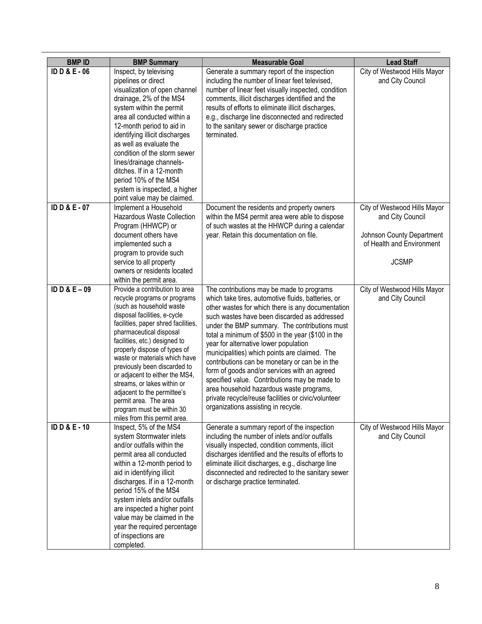| <b>BMPID</b>             | <b>BMP Summary</b>                                                                                                                                                                                                                                                                                                                                                                                                                                                                                                   | <b>Measurable Goal</b>                                                                                                                                                                                                                                                                                                                                                                                                                                                                                                                                                                                                                                                                             | <b>Lead Staff</b>                                                                                                          |
|--------------------------|----------------------------------------------------------------------------------------------------------------------------------------------------------------------------------------------------------------------------------------------------------------------------------------------------------------------------------------------------------------------------------------------------------------------------------------------------------------------------------------------------------------------|----------------------------------------------------------------------------------------------------------------------------------------------------------------------------------------------------------------------------------------------------------------------------------------------------------------------------------------------------------------------------------------------------------------------------------------------------------------------------------------------------------------------------------------------------------------------------------------------------------------------------------------------------------------------------------------------------|----------------------------------------------------------------------------------------------------------------------------|
| <b>ID D &amp; E - 06</b> | Inspect, by televising<br>pipelines or direct<br>visualization of open channel<br>drainage, 2% of the MS4<br>system within the permit<br>area all conducted within a<br>12-month period to aid in<br>identifying illicit discharges<br>as well as evaluate the<br>condition of the storm sewer<br>lines/drainage channels-<br>ditches. If in a 12-month<br>period 10% of the MS4<br>system is inspected, a higher<br>point value may be claimed.                                                                     | Generate a summary report of the inspection<br>including the number of linear feet televised,<br>number of linear feet visually inspected, condition<br>comments, illicit discharges identified and the<br>results of efforts to eliminate illicit discharges,<br>e.g., discharge line disconnected and redirected<br>to the sanitary sewer or discharge practice<br>terminated.                                                                                                                                                                                                                                                                                                                   | City of Westwood Hills Mayor<br>and City Council                                                                           |
| <b>IDD&amp;E-07</b>      | Implement a Household<br><b>Hazardous Waste Collection</b><br>Program (HHWCP) or<br>document others have<br>implemented such a<br>program to provide such<br>service to all property<br>owners or residents located<br>within the permit area.                                                                                                                                                                                                                                                                       | Document the residents and property owners<br>within the MS4 permit area were able to dispose<br>of such wastes at the HHWCP during a calendar<br>year. Retain this documentation on file.                                                                                                                                                                                                                                                                                                                                                                                                                                                                                                         | City of Westwood Hills Mayor<br>and City Council<br>Johnson County Department<br>of Health and Environment<br><b>JCSMP</b> |
| ID D & $E-09$            | Provide a contribution to area<br>recycle programs or programs<br>(such as household waste<br>disposal facilities, e-cycle<br>facilities, paper shred facilities,<br>pharmaceutical disposal<br>facilities, etc.) designed to<br>properly dispose of types of<br>waste or materials which have<br>previously been discarded to<br>or adjacent to either the MS4,<br>streams, or lakes within or<br>adjacent to the permittee's<br>permit area. The area<br>program must be within 30<br>miles from this permit area. | The contributions may be made to programs<br>which take tires, automotive fluids, batteries, or<br>other wastes for which there is any documentation<br>such wastes have been discarded as addressed<br>under the BMP summary. The contributions must<br>total a minimum of \$500 in the year (\$100 in the<br>year for alternative lower population<br>municipalities) which points are claimed. The<br>contributions can be monetary or can be in the<br>form of goods and/or services with an agreed<br>specified value. Contributions may be made to<br>area household hazardous waste programs,<br>private recycle/reuse facilities or civic/volunteer<br>organizations assisting in recycle. | City of Westwood Hills Mayor<br>and City Council                                                                           |
| <b>IDD&amp;E-10</b>      | Inspect, 5% of the MS4<br>system Stormwater inlets<br>and/or outfalls within the<br>permit area all conducted<br>within a 12-month period to<br>aid in identifying illicit<br>discharges. If in a 12-month<br>period 15% of the MS4<br>system inlets and/or outfalls<br>are inspected a higher point<br>value may be claimed in the<br>year the required percentage<br>of inspections are<br>completed.                                                                                                              | Generate a summary report of the inspection<br>including the number of inlets and/or outfalls<br>visually inspected, condition comments, illicit<br>discharges identified and the results of efforts to<br>eliminate illicit discharges, e.g., discharge line<br>disconnected and redirected to the sanitary sewer<br>or discharge practice terminated.                                                                                                                                                                                                                                                                                                                                            | City of Westwood Hills Mayor<br>and City Council                                                                           |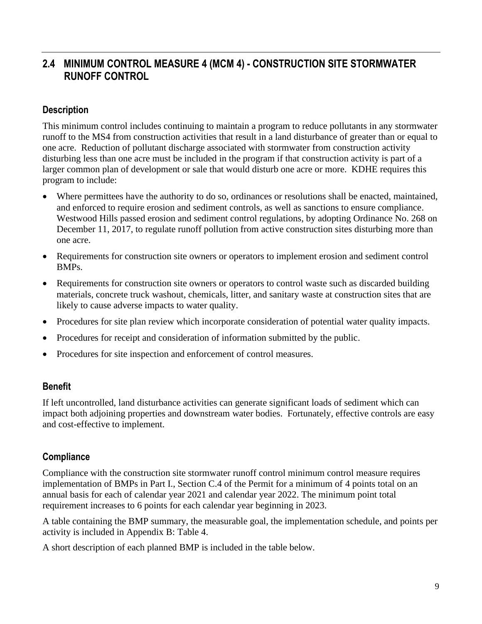# **2.4 MINIMUM CONTROL MEASURE 4 (MCM 4) - CONSTRUCTION SITE STORMWATER RUNOFF CONTROL**

#### **Description**

This minimum control includes continuing to maintain a program to reduce pollutants in any stormwater runoff to the MS4 from construction activities that result in a land disturbance of greater than or equal to one acre. Reduction of pollutant discharge associated with stormwater from construction activity disturbing less than one acre must be included in the program if that construction activity is part of a larger common plan of development or sale that would disturb one acre or more. KDHE requires this program to include:

- Where permittees have the authority to do so, ordinances or resolutions shall be enacted, maintained, and enforced to require erosion and sediment controls, as well as sanctions to ensure compliance. Westwood Hills passed erosion and sediment control regulations, by adopting Ordinance No. 268 on December 11, 2017, to regulate runoff pollution from active construction sites disturbing more than one acre.
- Requirements for construction site owners or operators to implement erosion and sediment control BMPs.
- Requirements for construction site owners or operators to control waste such as discarded building materials, concrete truck washout, chemicals, litter, and sanitary waste at construction sites that are likely to cause adverse impacts to water quality.
- Procedures for site plan review which incorporate consideration of potential water quality impacts.
- Procedures for receipt and consideration of information submitted by the public.
- Procedures for site inspection and enforcement of control measures.

#### **Benefit**

If left uncontrolled, land disturbance activities can generate significant loads of sediment which can impact both adjoining properties and downstream water bodies. Fortunately, effective controls are easy and cost-effective to implement.

#### **Compliance**

Compliance with the construction site stormwater runoff control minimum control measure requires implementation of BMPs in Part I., Section C.4 of the Permit for a minimum of 4 points total on an annual basis for each of calendar year 2021 and calendar year 2022. The minimum point total requirement increases to 6 points for each calendar year beginning in 2023.

A table containing the BMP summary, the measurable goal, the implementation schedule, and points per activity is included in Appendix B: Table 4.

A short description of each planned BMP is included in the table below.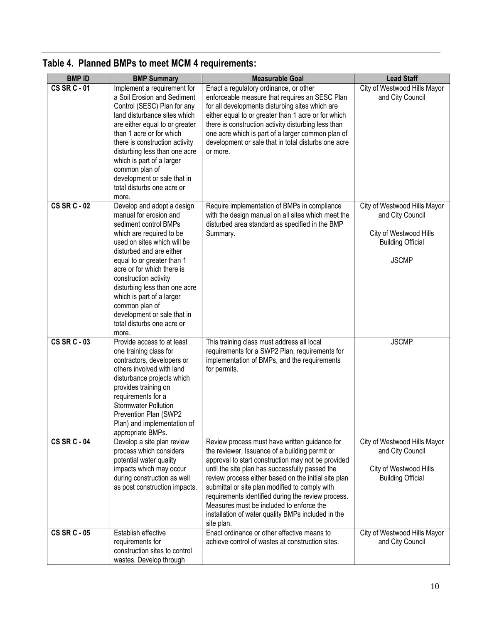| <b>BMPID</b>        | <b>BMP Summary</b>                                                                                                                                                                                                                                                                                                                                                                                              | <b>Measurable Goal</b>                                                                                                                                                                                                                                                                                                                                                                                                                                                                   | <b>Lead Staff</b>                                                                                                      |
|---------------------|-----------------------------------------------------------------------------------------------------------------------------------------------------------------------------------------------------------------------------------------------------------------------------------------------------------------------------------------------------------------------------------------------------------------|------------------------------------------------------------------------------------------------------------------------------------------------------------------------------------------------------------------------------------------------------------------------------------------------------------------------------------------------------------------------------------------------------------------------------------------------------------------------------------------|------------------------------------------------------------------------------------------------------------------------|
| <b>CS SR C - 01</b> | Implement a requirement for<br>a Soil Erosion and Sediment<br>Control (SESC) Plan for any<br>land disturbance sites which<br>are either equal to or greater<br>than 1 acre or for which<br>there is construction activity<br>disturbing less than one acre<br>which is part of a larger<br>common plan of<br>development or sale that in<br>total disturbs one acre or<br>more.                                 | Enact a regulatory ordinance, or other<br>enforceable measure that requires an SESC Plan<br>for all developments disturbing sites which are<br>either equal to or greater than 1 acre or for which<br>there is construction activity disturbing less than<br>one acre which is part of a larger common plan of<br>development or sale that in total disturbs one acre<br>or more.                                                                                                        | City of Westwood Hills Mayor<br>and City Council                                                                       |
| <b>CS SR C - 02</b> | Develop and adopt a design<br>manual for erosion and<br>sediment control BMPs<br>which are required to be<br>used on sites which will be<br>disturbed and are either<br>equal to or greater than 1<br>acre or for which there is<br>construction activity<br>disturbing less than one acre<br>which is part of a larger<br>common plan of<br>development or sale that in<br>total disturbs one acre or<br>more. | Require implementation of BMPs in compliance<br>with the design manual on all sites which meet the<br>disturbed area standard as specified in the BMP<br>Summary.                                                                                                                                                                                                                                                                                                                        | City of Westwood Hills Mayor<br>and City Council<br>City of Westwood Hills<br><b>Building Official</b><br><b>JSCMP</b> |
| <b>CS SR C - 03</b> | Provide access to at least<br>one training class for<br>contractors, developers or<br>others involved with land<br>disturbance projects which<br>provides training on<br>requirements for a<br><b>Stormwater Pollution</b><br>Prevention Plan (SWP2<br>Plan) and implementation of<br>appropriate BMPs.                                                                                                         | This training class must address all local<br>requirements for a SWP2 Plan, requirements for<br>implementation of BMPs, and the requirements<br>for permits.                                                                                                                                                                                                                                                                                                                             | <b>JSCMP</b>                                                                                                           |
| <b>CS SR C - 04</b> | Develop a site plan review<br>process which considers<br>potential water quality<br>impacts which may occur<br>during construction as well<br>as post construction impacts.                                                                                                                                                                                                                                     | Review process must have written guidance for<br>the reviewer. Issuance of a building permit or<br>approval to start construction may not be provided<br>until the site plan has successfully passed the<br>review process either based on the initial site plan<br>submittal or site plan modified to comply with<br>requirements identified during the review process.<br>Measures must be included to enforce the<br>installation of water quality BMPs included in the<br>site plan. | City of Westwood Hills Mayor<br>and City Council<br>City of Westwood Hills<br><b>Building Official</b>                 |
| <b>CS SR C - 05</b> | Establish effective<br>requirements for<br>construction sites to control<br>wastes. Develop through                                                                                                                                                                                                                                                                                                             | Enact ordinance or other effective means to<br>achieve control of wastes at construction sites.                                                                                                                                                                                                                                                                                                                                                                                          | City of Westwood Hills Mayor<br>and City Council                                                                       |

# **Table 4. Planned BMPs to meet MCM 4 requirements:**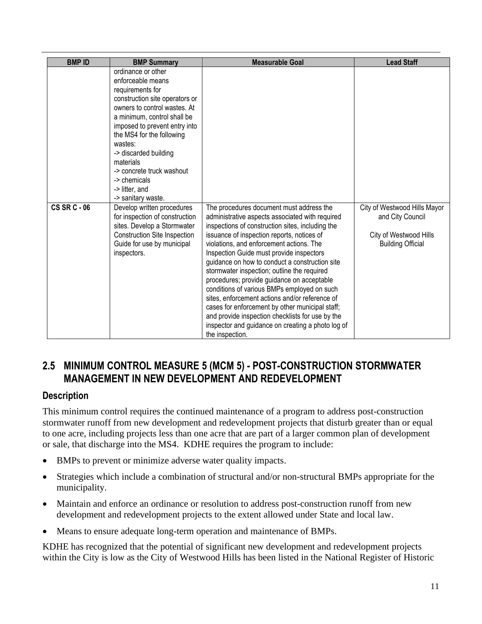| <b>BMPID</b>        | <b>BMP Summary</b>                                                                                                                                                                                                                                                                                                                                                                             | <b>Measurable Goal</b>                                                                                                                                                                                                                                                                                                                                                                                                                                                                                                                                                                                                                                                   | <b>Lead Staff</b>                                                      |
|---------------------|------------------------------------------------------------------------------------------------------------------------------------------------------------------------------------------------------------------------------------------------------------------------------------------------------------------------------------------------------------------------------------------------|--------------------------------------------------------------------------------------------------------------------------------------------------------------------------------------------------------------------------------------------------------------------------------------------------------------------------------------------------------------------------------------------------------------------------------------------------------------------------------------------------------------------------------------------------------------------------------------------------------------------------------------------------------------------------|------------------------------------------------------------------------|
| <b>CS SR C - 06</b> | ordinance or other<br>enforceable means<br>requirements for<br>construction site operators or<br>owners to control wastes. At<br>a minimum, control shall be<br>imposed to prevent entry into<br>the MS4 for the following<br>wastes:<br>-> discarded building<br>materials<br>-> concrete truck washout<br>-> chemicals<br>-> litter, and<br>-> sanitary waste.<br>Develop written procedures | The procedures document must address the                                                                                                                                                                                                                                                                                                                                                                                                                                                                                                                                                                                                                                 | City of Westwood Hills Mayor                                           |
|                     | for inspection of construction<br>sites. Develop a Stormwater<br>Construction Site Inspection<br>Guide for use by municipal<br>inspectors.                                                                                                                                                                                                                                                     | administrative aspects associated with required<br>inspections of construction sites, including the<br>issuance of inspection reports, notices of<br>violations, and enforcement actions. The<br>Inspection Guide must provide inspectors<br>guidance on how to conduct a construction site<br>stormwater inspection; outline the required<br>procedures; provide guidance on acceptable<br>conditions of various BMPs employed on such<br>sites, enforcement actions and/or reference of<br>cases for enforcement by other municipal staff;<br>and provide inspection checklists for use by the<br>inspector and guidance on creating a photo log of<br>the inspection. | and City Council<br>City of Westwood Hills<br><b>Building Official</b> |

# **2.5 MINIMUM CONTROL MEASURE 5 (MCM 5) - POST-CONSTRUCTION STORMWATER MANAGEMENT IN NEW DEVELOPMENT AND REDEVELOPMENT**

#### **Description**

This minimum control requires the continued maintenance of a program to address post-construction stormwater runoff from new development and redevelopment projects that disturb greater than or equal to one acre, including projects less than one acre that are part of a larger common plan of development or sale, that discharge into the MS4. KDHE requires the program to include:

- BMPs to prevent or minimize adverse water quality impacts.
- Strategies which include a combination of structural and/or non-structural BMPs appropriate for the municipality.
- Maintain and enforce an ordinance or resolution to address post-construction runoff from new development and redevelopment projects to the extent allowed under State and local law.
- Means to ensure adequate long-term operation and maintenance of BMPs.

KDHE has recognized that the potential of significant new development and redevelopment projects within the City is low as the City of Westwood Hills has been listed in the National Register of Historic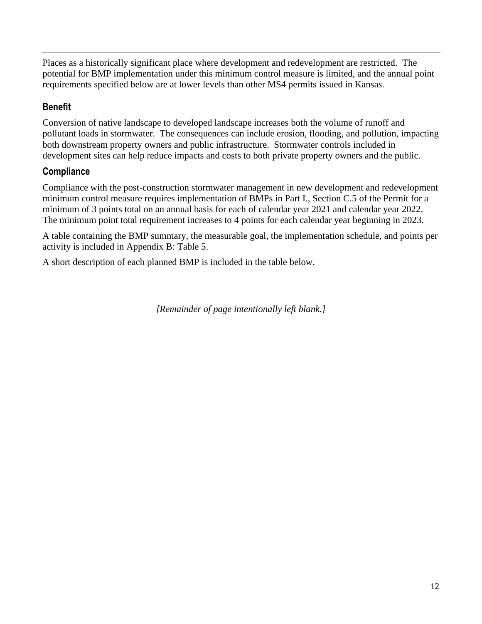Places as a historically significant place where development and redevelopment are restricted. The potential for BMP implementation under this minimum control measure is limited, and the annual point requirements specified below are at lower levels than other MS4 permits issued in Kansas.

# **Benefit**

Conversion of native landscape to developed landscape increases both the volume of runoff and pollutant loads in stormwater. The consequences can include erosion, flooding, and pollution, impacting both downstream property owners and public infrastructure. Stormwater controls included in development sites can help reduce impacts and costs to both private property owners and the public.

#### **Compliance**

Compliance with the post-construction stormwater management in new development and redevelopment minimum control measure requires implementation of BMPs in Part I., Section C.5 of the Permit for a minimum of 3 points total on an annual basis for each of calendar year 2021 and calendar year 2022. The minimum point total requirement increases to 4 points for each calendar year beginning in 2023.

A table containing the BMP summary, the measurable goal, the implementation schedule, and points per activity is included in Appendix B: Table 5.

A short description of each planned BMP is included in the table below.

*[Remainder of page intentionally left blank.]*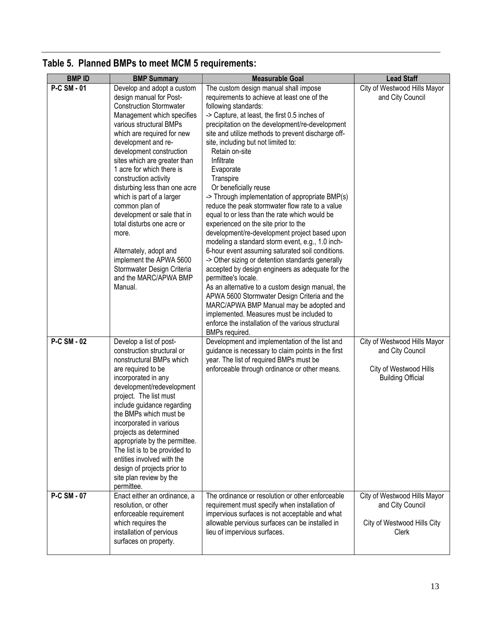| <b>BMPID</b>       | <b>BMP Summary</b>                                                                                                                                                                                                                                                                                                                                                                                                                                                                                                                                                                                   | <b>Measurable Goal</b>                                                                                                                                                                                                                                                                                                                                                                                                                                                                                                                                                                                                                                                                                                                                                                                                                                                                                                                                                                                                                                                                                                                                      | <b>Lead Staff</b>                                                                                      |
|--------------------|------------------------------------------------------------------------------------------------------------------------------------------------------------------------------------------------------------------------------------------------------------------------------------------------------------------------------------------------------------------------------------------------------------------------------------------------------------------------------------------------------------------------------------------------------------------------------------------------------|-------------------------------------------------------------------------------------------------------------------------------------------------------------------------------------------------------------------------------------------------------------------------------------------------------------------------------------------------------------------------------------------------------------------------------------------------------------------------------------------------------------------------------------------------------------------------------------------------------------------------------------------------------------------------------------------------------------------------------------------------------------------------------------------------------------------------------------------------------------------------------------------------------------------------------------------------------------------------------------------------------------------------------------------------------------------------------------------------------------------------------------------------------------|--------------------------------------------------------------------------------------------------------|
| <b>P-C SM - 01</b> | Develop and adopt a custom<br>design manual for Post-<br><b>Construction Stormwater</b><br>Management which specifies<br>various structural BMPs<br>which are required for new<br>development and re-<br>development construction<br>sites which are greater than<br>1 acre for which there is<br>construction activity<br>disturbing less than one acre<br>which is part of a larger<br>common plan of<br>development or sale that in<br>total disturbs one acre or<br>more.<br>Alternately, adopt and<br>implement the APWA 5600<br>Stormwater Design Criteria<br>and the MARC/APWA BMP<br>Manual. | The custom design manual shall impose<br>requirements to achieve at least one of the<br>following standards:<br>-> Capture, at least, the first 0.5 inches of<br>precipitation on the development/re-development<br>site and utilize methods to prevent discharge off-<br>site, including but not limited to:<br>Retain on-site<br>Infiltrate<br>Evaporate<br>Transpire<br>Or beneficially reuse<br>-> Through implementation of appropriate BMP(s)<br>reduce the peak stormwater flow rate to a value<br>equal to or less than the rate which would be<br>experienced on the site prior to the<br>development/re-development project based upon<br>modeling a standard storm event, e.g., 1.0 inch-<br>6-hour event assuming saturated soil conditions.<br>-> Other sizing or detention standards generally<br>accepted by design engineers as adequate for the<br>permittee's locale.<br>As an alternative to a custom design manual, the<br>APWA 5600 Stormwater Design Criteria and the<br>MARC/APWA BMP Manual may be adopted and<br>implemented. Measures must be included to<br>enforce the installation of the various structural<br>BMPs required. | City of Westwood Hills Mayor<br>and City Council                                                       |
| <b>P-C SM - 02</b> | Develop a list of post-<br>construction structural or<br>nonstructural BMPs which<br>are required to be<br>incorporated in any<br>development/redevelopment<br>project. The list must<br>include guidance regarding<br>the BMPs which must be<br>incorporated in various<br>projects as determined<br>appropriate by the permittee.<br>The list is to be provided to<br>entities involved with the<br>design of projects prior to<br>site plan review by the<br>permittee.                                                                                                                           | Development and implementation of the list and<br>guidance is necessary to claim points in the first<br>year. The list of required BMPs must be<br>enforceable through ordinance or other means.                                                                                                                                                                                                                                                                                                                                                                                                                                                                                                                                                                                                                                                                                                                                                                                                                                                                                                                                                            | City of Westwood Hills Mayor<br>and City Council<br>City of Westwood Hills<br><b>Building Official</b> |
| <b>P-C SM - 07</b> | Enact either an ordinance, a<br>resolution, or other<br>enforceable requirement<br>which requires the<br>installation of pervious<br>surfaces on property.                                                                                                                                                                                                                                                                                                                                                                                                                                           | The ordinance or resolution or other enforceable<br>requirement must specify when installation of<br>impervious surfaces is not acceptable and what<br>allowable pervious surfaces can be installed in<br>lieu of impervious surfaces.                                                                                                                                                                                                                                                                                                                                                                                                                                                                                                                                                                                                                                                                                                                                                                                                                                                                                                                      | City of Westwood Hills Mayor<br>and City Council<br>City of Westwood Hills City<br>Clerk               |

# **Table 5. Planned BMPs to meet MCM 5 requirements:**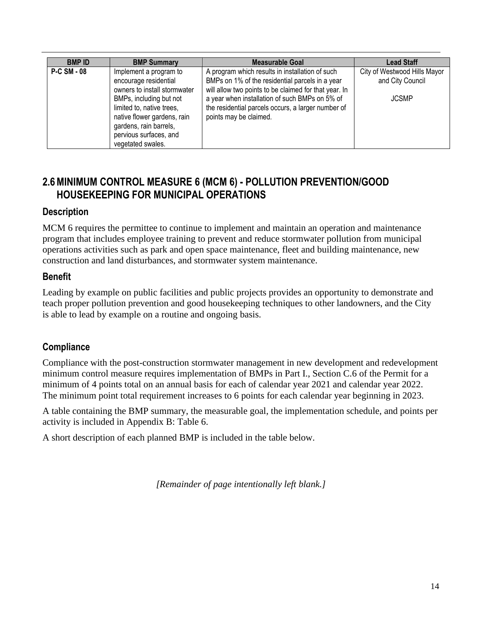| <b>BMP ID</b>      | <b>BMP Summary</b>                                                                                                                                                                                                                              | <b>Measurable Goal</b>                                                                                                                                                                                                                                                                        | <b>Lead Staff</b>                                                |
|--------------------|-------------------------------------------------------------------------------------------------------------------------------------------------------------------------------------------------------------------------------------------------|-----------------------------------------------------------------------------------------------------------------------------------------------------------------------------------------------------------------------------------------------------------------------------------------------|------------------------------------------------------------------|
| <b>P-C SM - 08</b> | Implement a program to<br>encourage residential<br>owners to install stormwater<br>BMPs, including but not<br>limited to, native trees,<br>native flower gardens, rain<br>gardens, rain barrels,<br>pervious surfaces, and<br>vegetated swales. | A program which results in installation of such<br>BMPs on 1% of the residential parcels in a year<br>will allow two points to be claimed for that year. In<br>a year when installation of such BMPs on 5% of<br>the residential parcels occurs, a larger number of<br>points may be claimed. | City of Westwood Hills Mayor<br>and City Council<br><b>JCSMP</b> |

# **2.6MINIMUM CONTROL MEASURE 6 (MCM 6) - POLLUTION PREVENTION/GOOD HOUSEKEEPING FOR MUNICIPAL OPERATIONS**

#### **Description**

MCM 6 requires the permittee to continue to implement and maintain an operation and maintenance program that includes employee training to prevent and reduce stormwater pollution from municipal operations activities such as park and open space maintenance, fleet and building maintenance, new construction and land disturbances, and stormwater system maintenance.

#### **Benefit**

Leading by example on public facilities and public projects provides an opportunity to demonstrate and teach proper pollution prevention and good housekeeping techniques to other landowners, and the City is able to lead by example on a routine and ongoing basis.

## **Compliance**

Compliance with the post-construction stormwater management in new development and redevelopment minimum control measure requires implementation of BMPs in Part I., Section C.6 of the Permit for a minimum of 4 points total on an annual basis for each of calendar year 2021 and calendar year 2022. The minimum point total requirement increases to 6 points for each calendar year beginning in 2023.

A table containing the BMP summary, the measurable goal, the implementation schedule, and points per activity is included in Appendix B: Table 6.

A short description of each planned BMP is included in the table below.

*[Remainder of page intentionally left blank.]*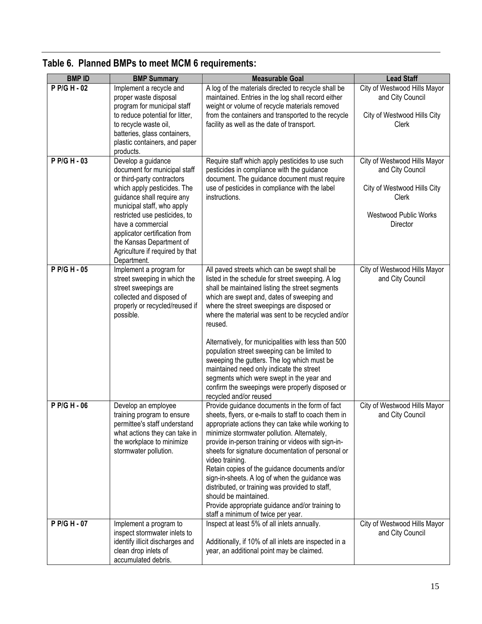| <b>BMPID</b> | <b>BMP Summary</b>                                                                                                                                                                                                                                                                                                                               | <b>Measurable Goal</b>                                                                                                                                                                                                                                                                                                                                                                                                                                                                                                                                                                                                                         | <b>Lead Staff</b>                                                                                                                    |
|--------------|--------------------------------------------------------------------------------------------------------------------------------------------------------------------------------------------------------------------------------------------------------------------------------------------------------------------------------------------------|------------------------------------------------------------------------------------------------------------------------------------------------------------------------------------------------------------------------------------------------------------------------------------------------------------------------------------------------------------------------------------------------------------------------------------------------------------------------------------------------------------------------------------------------------------------------------------------------------------------------------------------------|--------------------------------------------------------------------------------------------------------------------------------------|
| P P/G H - 02 | Implement a recycle and<br>proper waste disposal<br>program for municipal staff<br>to reduce potential for litter,<br>to recycle waste oil,<br>batteries, glass containers,<br>plastic containers, and paper<br>products.                                                                                                                        | A log of the materials directed to recycle shall be<br>maintained. Entries in the log shall record either<br>weight or volume of recycle materials removed<br>from the containers and transported to the recycle<br>facility as well as the date of transport.                                                                                                                                                                                                                                                                                                                                                                                 | City of Westwood Hills Mayor<br>and City Council<br>City of Westwood Hills City<br>Clerk                                             |
| P P/G H - 03 | Develop a guidance<br>document for municipal staff<br>or third-party contractors<br>which apply pesticides. The<br>guidance shall require any<br>municipal staff, who apply<br>restricted use pesticides, to<br>have a commercial<br>applicator certification from<br>the Kansas Department of<br>Agriculture if required by that<br>Department. | Require staff which apply pesticides to use such<br>pesticides in compliance with the guidance<br>document. The guidance document must require<br>use of pesticides in compliance with the label<br>instructions.                                                                                                                                                                                                                                                                                                                                                                                                                              | City of Westwood Hills Mayor<br>and City Council<br>City of Westwood Hills City<br>Clerk<br><b>Westwood Public Works</b><br>Director |
| P P/G H - 05 | Implement a program for<br>street sweeping in which the<br>street sweepings are<br>collected and disposed of<br>properly or recycled/reused if<br>possible.                                                                                                                                                                                      | All paved streets which can be swept shall be<br>listed in the schedule for street sweeping. A log<br>shall be maintained listing the street segments<br>which are swept and, dates of sweeping and<br>where the street sweepings are disposed or<br>where the material was sent to be recycled and/or<br>reused.<br>Alternatively, for municipalities with less than 500<br>population street sweeping can be limited to<br>sweeping the gutters. The log which must be<br>maintained need only indicate the street<br>segments which were swept in the year and<br>confirm the sweepings were properly disposed or<br>recycled and/or reused | City of Westwood Hills Mayor<br>and City Council                                                                                     |
| P P/G H - 06 | Develop an employee<br>training program to ensure<br>permittee's staff understand<br>what actions they can take in<br>the workplace to minimize<br>stormwater pollution.                                                                                                                                                                         | Provide guidance documents in the form of fact<br>sheets, flyers, or e-mails to staff to coach them in<br>appropriate actions they can take while working to<br>minimize stormwater pollution. Alternately,<br>provide in-person training or videos with sign-in-<br>sheets for signature documentation of personal or<br>video training.<br>Retain copies of the guidance documents and/or<br>sign-in-sheets. A log of when the guidance was<br>distributed, or training was provided to staff,<br>should be maintained.<br>Provide appropriate guidance and/or training to<br>staff a minimum of twice per year.                             | City of Westwood Hills Mayor<br>and City Council                                                                                     |
| P P/G H - 07 | Implement a program to<br>inspect stormwater inlets to<br>identify illicit discharges and<br>clean drop inlets of<br>accumulated debris.                                                                                                                                                                                                         | Inspect at least 5% of all inlets annually.<br>Additionally, if 10% of all inlets are inspected in a<br>year, an additional point may be claimed.                                                                                                                                                                                                                                                                                                                                                                                                                                                                                              | City of Westwood Hills Mayor<br>and City Council                                                                                     |

# **Table 6. Planned BMPs to meet MCM 6 requirements:**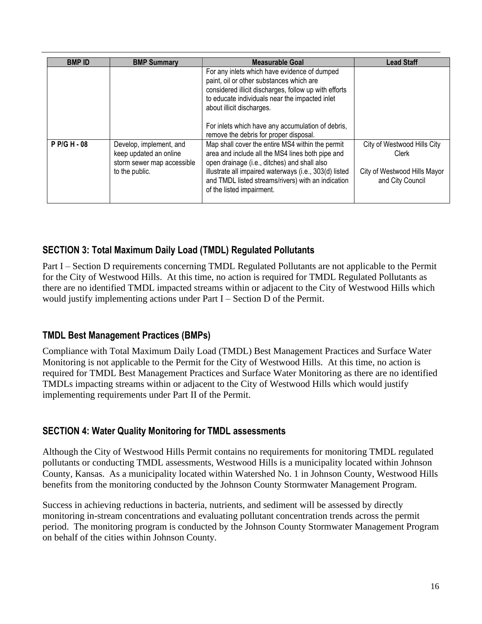| <b>BMPID</b> | <b>BMP Summary</b>                                                                                | Measurable Goal                                                                                                                                                                                                                                                                                                                             | <b>Lead Staff</b>                                                                        |
|--------------|---------------------------------------------------------------------------------------------------|---------------------------------------------------------------------------------------------------------------------------------------------------------------------------------------------------------------------------------------------------------------------------------------------------------------------------------------------|------------------------------------------------------------------------------------------|
|              |                                                                                                   | For any inlets which have evidence of dumped<br>paint, oil or other substances which are<br>considered illicit discharges, follow up with efforts<br>to educate individuals near the impacted inlet<br>about illicit discharges.<br>For inlets which have any accumulation of debris,                                                       |                                                                                          |
| P P/G H - 08 | Develop, implement, and<br>keep updated an online<br>storm sewer map accessible<br>to the public. | remove the debris for proper disposal.<br>Map shall cover the entire MS4 within the permit<br>area and include all the MS4 lines both pipe and<br>open drainage (i.e., ditches) and shall also<br>illustrate all impaired waterways (i.e., 303(d) listed<br>and TMDL listed streams/rivers) with an indication<br>of the listed impairment. | City of Westwood Hills City<br>Clerk<br>City of Westwood Hills Mayor<br>and City Council |

# **SECTION 3: Total Maximum Daily Load (TMDL) Regulated Pollutants**

Part I – Section D requirements concerning TMDL Regulated Pollutants are not applicable to the Permit for the City of Westwood Hills. At this time, no action is required for TMDL Regulated Pollutants as there are no identified TMDL impacted streams within or adjacent to the City of Westwood Hills which would justify implementing actions under Part I – Section D of the Permit.

## **TMDL Best Management Practices (BMPs)**

Compliance with Total Maximum Daily Load (TMDL) Best Management Practices and Surface Water Monitoring is not applicable to the Permit for the City of Westwood Hills. At this time, no action is required for TMDL Best Management Practices and Surface Water Monitoring as there are no identified TMDLs impacting streams within or adjacent to the City of Westwood Hills which would justify implementing requirements under Part II of the Permit.

## **SECTION 4: Water Quality Monitoring for TMDL assessments**

Although the City of Westwood Hills Permit contains no requirements for monitoring TMDL regulated pollutants or conducting TMDL assessments, Westwood Hills is a municipality located within Johnson County, Kansas. As a municipality located within Watershed No. 1 in Johnson County, Westwood Hills benefits from the monitoring conducted by the Johnson County Stormwater Management Program.

Success in achieving reductions in bacteria, nutrients, and sediment will be assessed by directly monitoring in-stream concentrations and evaluating pollutant concentration trends across the permit period. The monitoring program is conducted by the Johnson County Stormwater Management Program on behalf of the cities within Johnson County.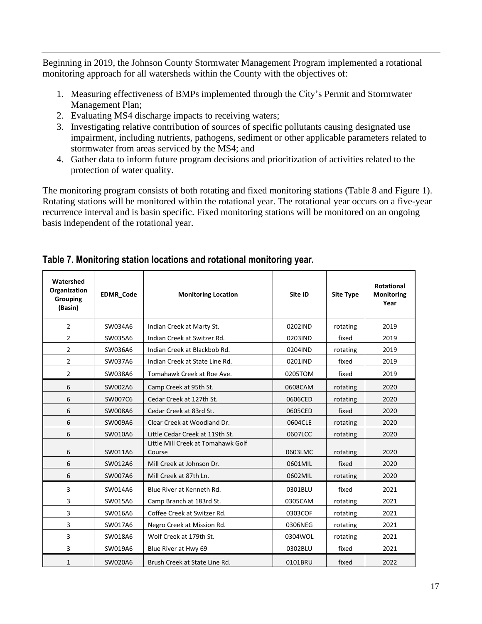Beginning in 2019, the Johnson County Stormwater Management Program implemented a rotational monitoring approach for all watersheds within the County with the objectives of:

- 1. Measuring effectiveness of BMPs implemented through the City's Permit and Stormwater Management Plan;
- 2. Evaluating MS4 discharge impacts to receiving waters;
- 3. Investigating relative contribution of sources of specific pollutants causing designated use impairment, including nutrients, pathogens, sediment or other applicable parameters related to stormwater from areas serviced by the MS4; and
- 4. Gather data to inform future program decisions and prioritization of activities related to the protection of water quality.

The monitoring program consists of both rotating and fixed monitoring stations (Table 8 and Figure 1). Rotating stations will be monitored within the rotational year. The rotational year occurs on a five-year recurrence interval and is basin specific. Fixed monitoring stations will be monitored on an ongoing basis independent of the rotational year.

| Watershed<br><b>Organization</b><br><b>Grouping</b><br>(Basin) | EDMR_Code | <b>Monitoring Location</b>                   | Site ID | <b>Site Type</b> | <b>Rotational</b><br><b>Monitoring</b><br>Year |
|----------------------------------------------------------------|-----------|----------------------------------------------|---------|------------------|------------------------------------------------|
| $\overline{2}$                                                 | SW034A6   | Indian Creek at Marty St.                    | 0202IND | rotating         | 2019                                           |
| $\overline{2}$                                                 | SW035A6   | Indian Creek at Switzer Rd.                  | 0203IND | fixed            | 2019                                           |
| $\overline{2}$                                                 | SW036A6   | Indian Creek at Blackbob Rd.                 | 0204IND | rotating         | 2019                                           |
| $\overline{2}$                                                 | SW037A6   | Indian Creek at State Line Rd.               | 0201IND | fixed            | 2019                                           |
| $\overline{2}$                                                 | SW038A6   | Tomahawk Creek at Roe Ave.                   | 0205TOM | fixed            | 2019                                           |
| 6                                                              | SW002A6   | Camp Creek at 95th St.                       | 0608CAM | rotating         | 2020                                           |
| 6                                                              | SW007C6   | Cedar Creek at 127th St.                     | 0606CED | rotating         | 2020                                           |
| 6                                                              | SW008A6   | Cedar Creek at 83rd St.                      | 0605CED | fixed            | 2020                                           |
| 6                                                              | SW009A6   | Clear Creek at Woodland Dr.                  | 0604CLE | rotating         | 2020                                           |
| 6                                                              | SW010A6   | Little Cedar Creek at 119th St.              | 0607LCC | rotating         | 2020                                           |
| 6                                                              | SW011A6   | Little Mill Creek at Tomahawk Golf<br>Course | 0603LMC | rotating         | 2020                                           |
| 6                                                              | SW012A6   | Mill Creek at Johnson Dr.                    | 0601MIL | fixed            | 2020                                           |
| 6                                                              | SW007A6   | Mill Creek at 87th Ln.                       | 0602MIL | rotating         | 2020                                           |
| 3                                                              | SW014A6   | Blue River at Kenneth Rd.                    | 0301BLU | fixed            | 2021                                           |
| 3                                                              | SW015A6   | Camp Branch at 183rd St.                     | 0305CAM | rotating         | 2021                                           |
| 3                                                              | SW016A6   | Coffee Creek at Switzer Rd.                  | 0303COF | rotating         | 2021                                           |
| 3                                                              | SW017A6   | Negro Creek at Mission Rd.                   | 0306NEG | rotating         | 2021                                           |
| 3                                                              | SW018A6   | Wolf Creek at 179th St.                      | 0304WOL | rotating         | 2021                                           |
| 3                                                              | SW019A6   | Blue River at Hwy 69                         | 0302BLU | fixed            | 2021                                           |
| $\mathbf{1}$                                                   | SW020A6   | Brush Creek at State Line Rd.                | 0101BRU | fixed            | 2022                                           |

#### **Table 7. Monitoring station locations and rotational monitoring year.**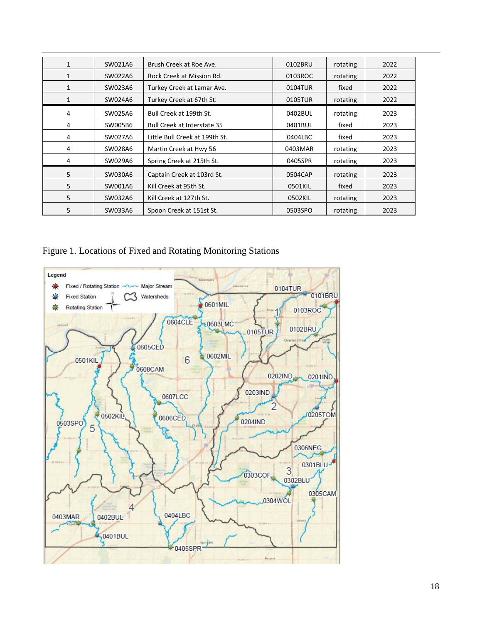| $\mathbf{1}$ | SW021A6 | Brush Creek at Roe Ave.            | 0102BRU | rotating | 2022 |
|--------------|---------|------------------------------------|---------|----------|------|
| $\mathbf{1}$ | SW022A6 | Rock Creek at Mission Rd.          | 0103ROC | rotating | 2022 |
|              | SW023A6 | Turkey Creek at Lamar Ave.         | 0104TUR | fixed    | 2022 |
| 1            | SW024A6 | Turkey Creek at 67th St.           | 0105TUR | rotating | 2022 |
| 4            | SW025A6 | Bull Creek at 199th St.            | 0402BUL | rotating | 2023 |
| 4            | SW005B6 | <b>Bull Creek at Interstate 35</b> | 0401BUL | fixed    | 2023 |
| 4            | SW027A6 | Little Bull Creek at 199th St.     | 0404LBC | fixed    | 2023 |
| 4            | SW028A6 | Martin Creek at Hwy 56             | 0403MAR | rotating | 2023 |
| 4            | SW029A6 | Spring Creek at 215th St.          | 0405SPR | rotating | 2023 |
| 5            | SW030A6 | Captain Creek at 103rd St.         | 0504CAP | rotating | 2023 |
| 5            | SW001A6 | Kill Creek at 95th St.             | 0501KIL | fixed    | 2023 |
| 5            | SW032A6 | Kill Creek at 127th St.            | 0502KIL | rotating | 2023 |
| 5            | SW033A6 | Spoon Creek at 151st St.           | 0503SPO | rotating | 2023 |

Figure 1. Locations of Fixed and Rotating Monitoring Stations

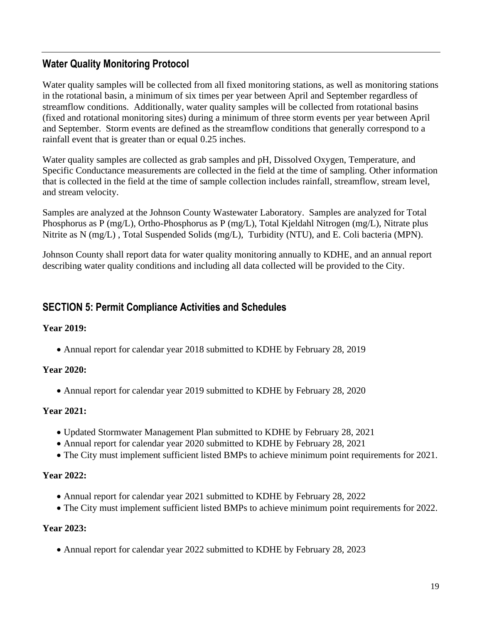## **Water Quality Monitoring Protocol**

Water quality samples will be collected from all fixed monitoring stations, as well as monitoring stations in the rotational basin, a minimum of six times per year between April and September regardless of streamflow conditions. Additionally, water quality samples will be collected from rotational basins (fixed and rotational monitoring sites) during a minimum of three storm events per year between April and September. Storm events are defined as the streamflow conditions that generally correspond to a rainfall event that is greater than or equal 0.25 inches.

Water quality samples are collected as grab samples and pH, Dissolved Oxygen, Temperature, and Specific Conductance measurements are collected in the field at the time of sampling. Other information that is collected in the field at the time of sample collection includes rainfall, streamflow, stream level, and stream velocity.

Samples are analyzed at the Johnson County Wastewater Laboratory. Samples are analyzed for Total Phosphorus as P (mg/L), Ortho-Phosphorus as P (mg/L), Total Kjeldahl Nitrogen (mg/L), Nitrate plus Nitrite as N (mg/L) , Total Suspended Solids (mg/L), Turbidity (NTU), and E. Coli bacteria (MPN).

Johnson County shall report data for water quality monitoring annually to KDHE, and an annual report describing water quality conditions and including all data collected will be provided to the City.

#### **SECTION 5: Permit Compliance Activities and Schedules**

#### **Year 2019:**

• Annual report for calendar year 2018 submitted to KDHE by February 28, 2019

#### **Year 2020:**

• Annual report for calendar year 2019 submitted to KDHE by February 28, 2020

#### **Year 2021:**

- Updated Stormwater Management Plan submitted to KDHE by February 28, 2021
- Annual report for calendar year 2020 submitted to KDHE by February 28, 2021
- The City must implement sufficient listed BMPs to achieve minimum point requirements for 2021.

#### **Year 2022:**

- Annual report for calendar year 2021 submitted to KDHE by February 28, 2022
- The City must implement sufficient listed BMPs to achieve minimum point requirements for 2022.

#### **Year 2023:**

• Annual report for calendar year 2022 submitted to KDHE by February 28, 2023